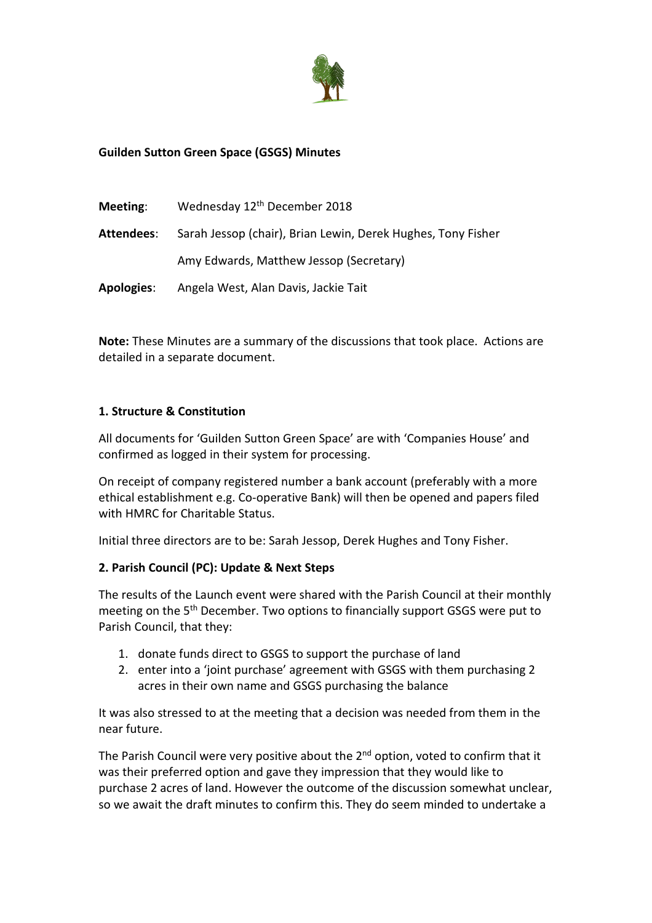

## **Guilden Sutton Green Space (GSGS) Minutes**

| Meeting:          | Wednesday 12th December 2018                                 |
|-------------------|--------------------------------------------------------------|
| Attendees:        | Sarah Jessop (chair), Brian Lewin, Derek Hughes, Tony Fisher |
|                   | Amy Edwards, Matthew Jessop (Secretary)                      |
| <b>Apologies:</b> | Angela West, Alan Davis, Jackie Tait                         |

**Note:** These Minutes are a summary of the discussions that took place. Actions are detailed in a separate document.

#### **1. Structure & Constitution**

All documents for 'Guilden Sutton Green Space' are with 'Companies House' and confirmed as logged in their system for processing.

On receipt of company registered number a bank account (preferably with a more ethical establishment e.g. Co-operative Bank) will then be opened and papers filed with HMRC for Charitable Status.

Initial three directors are to be: Sarah Jessop, Derek Hughes and Tony Fisher.

#### **2. Parish Council (PC): Update & Next Steps**

The results of the Launch event were shared with the Parish Council at their monthly meeting on the 5<sup>th</sup> December. Two options to financially support GSGS were put to Parish Council, that they:

- 1. donate funds direct to GSGS to support the purchase of land
- 2. enter into a 'joint purchase' agreement with GSGS with them purchasing 2 acres in their own name and GSGS purchasing the balance

It was also stressed to at the meeting that a decision was needed from them in the near future.

The Parish Council were very positive about the 2<sup>nd</sup> option, voted to confirm that it was their preferred option and gave they impression that they would like to purchase 2 acres of land. However the outcome of the discussion somewhat unclear, so we await the draft minutes to confirm this. They do seem minded to undertake a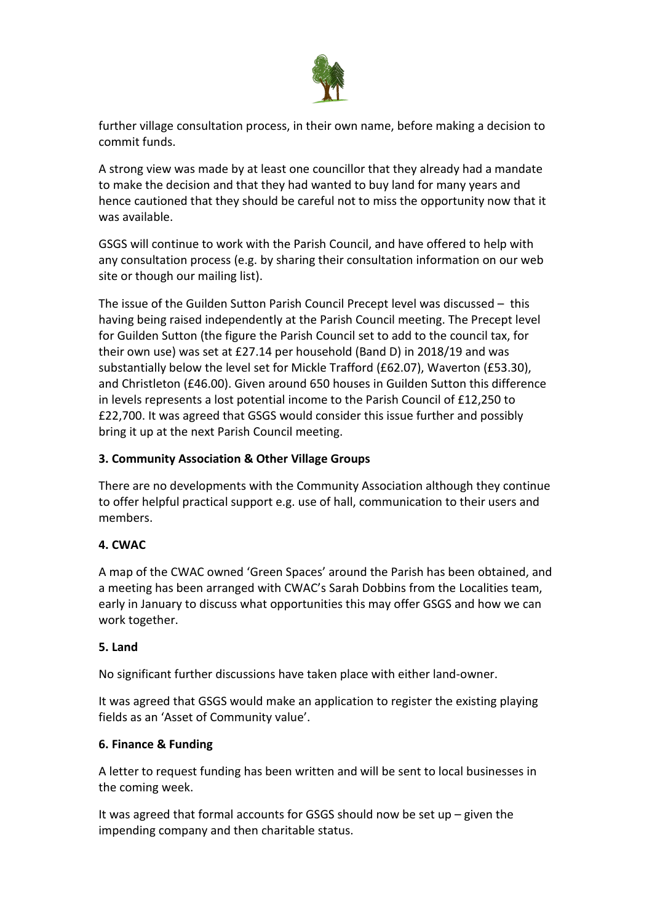

further village consultation process, in their own name, before making a decision to commit funds.

A strong view was made by at least one councillor that they already had a mandate to make the decision and that they had wanted to buy land for many years and hence cautioned that they should be careful not to miss the opportunity now that it was available.

GSGS will continue to work with the Parish Council, and have offered to help with any consultation process (e.g. by sharing their consultation information on our web site or though our mailing list).

The issue of the Guilden Sutton Parish Council Precept level was discussed – this having being raised independently at the Parish Council meeting. The Precept level for Guilden Sutton (the figure the Parish Council set to add to the council tax, for their own use) was set at £27.14 per household (Band D) in 2018/19 and was substantially below the level set for Mickle Trafford (£62.07), Waverton (£53.30), and Christleton (£46.00). Given around 650 houses in Guilden Sutton this difference in levels represents a lost potential income to the Parish Council of £12,250 to £22,700. It was agreed that GSGS would consider this issue further and possibly bring it up at the next Parish Council meeting.

# **3. Community Association & Other Village Groups**

There are no developments with the Community Association although they continue to offer helpful practical support e.g. use of hall, communication to their users and members.

### **4. CWAC**

A map of the CWAC owned 'Green Spaces' around the Parish has been obtained, and a meeting has been arranged with CWAC's Sarah Dobbins from the Localities team, early in January to discuss what opportunities this may offer GSGS and how we can work together.

### **5. Land**

No significant further discussions have taken place with either land-owner.

It was agreed that GSGS would make an application to register the existing playing fields as an 'Asset of Community value'.

### **6. Finance & Funding**

A letter to request funding has been written and will be sent to local businesses in the coming week.

It was agreed that formal accounts for GSGS should now be set up – given the impending company and then charitable status.